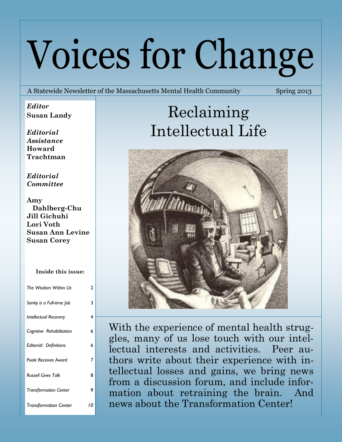# Voices for Change

A Statewide Newsletter of the Massachusetts Mental Health Community Spring 2013

*Editor* **Susan Landy**

*Editorial Assistance* **Howard Trachtman**

*Editorial Committee*

**Amy Dahlberg-Chu Jill Gichuhi Lori Voth Susan Ann Levine Susan Corey**

#### **Inside this issue:**

| The Wisdom Within Us          | 2  |
|-------------------------------|----|
| Sanity is a Full-time Job     | 3  |
| <b>Intellectual Recovery</b>  | 4  |
| Cognitive Rehabilitation      | 6  |
| <b>Editorial: Definitions</b> | 6  |
| <b>Poole Receives Award</b>   | 7  |
| <b>Russell Gives Talk</b>     | 8  |
| <b>Transformation Center</b>  | 9  |
| <b>Transformation Center</b>  | 10 |

## Reclaiming Intellectual Life



With the experience of mental health struggles, many of us lose touch with our intellectual interests and activities. Peer authors write about their experience with intellectual losses and gains, we bring news from a discussion forum, and include information about retraining the brain. And news about the Transformation Center!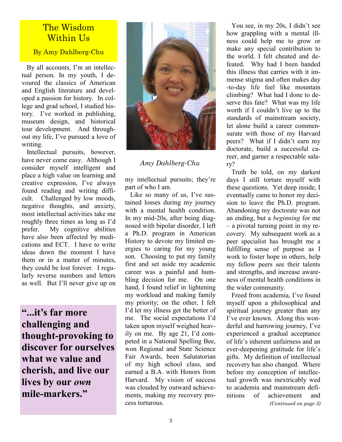#### The Wisdom Within Us

By Amy Dahlberg-Chu

 By all accounts, I'm an intellectual person. In my youth, I devoured the classics of American and English literature and developed a passion for history. In college and grad school, I studied history. I've worked in publishing, museum design, and historical tour development. And throughout my life, I've pursued a love of writing.

 Intellectual pursuits, however, have never come easy. Although I consider myself intelligent and place a high value on learning and creative expression, I've always found reading and writing difficult. Challenged by low moods, negative thoughts, and anxiety, most intellectual activities take me roughly three times as long as I'd prefer. My cognitive abilities have also been affected by medications and ECT. I have to write ideas down the moment I have them or in a matter of minutes, they could be lost forever. I regularly reverse numbers and letters as well. But I'll never give up on

**"...it's far more challenging and thought-provoking to discover for ourselves what we value and cherish, and live our lives by our** *own* **mile-markers."**



#### *Amy Dahlberg-Chu*

my intellectual pursuits; they're part of who I am.

 Like so many of us, I've sustained losses during my journey with a mental health condition. In my mid-20s, after being diagnosed with bipolar disorder, I left a Ph.D. program in American History to devote my limited energies to caring for my young son. Choosing to put my family first and set aside my academic career was a painful and humbling decision for me. On one hand, I found relief in lightening my workload and making family my priority; on the other, I felt I'd let my illness get the better of me. The social expectations I'd taken upon myself weighed heavily on me. By age 21, I'd competed in a National Spelling Bee, won Regional and State Science Fair Awards, been Salutatorian of my high school class, and earned a B.A. with Honors from Harvard. My vision of success was clouded by outward achievements, making my recovery process torturous.

 You see, in my 20s, I didn't see how grappling with a mental illness could help me to grow or make any special contribution to the world. I felt cheated and defeated. Why had I been handed this illness that carries with it immense stigma and often makes day -to-day life feel like mountain climbing? What had I done to deserve this fate? What was my life worth if I couldn't live up to the standards of mainstream society, let alone build a career commensurate with those of my Harvard peers? What if I didn't earn my doctorate, build a successful career, and garner a respectable salary?

 Truth be told, on my darkest days I still torture myself with these questions. Yet deep inside, I eventually came to honor my decision to leave the Ph.D. program. Abandoning my doctorate was not an ending, but a *beginning* for me – a pivotal turning point in my recovery. My subsequent work as a peer specialist has brought me a fulfilling sense of purpose as I work to foster hope in others, help my fellow peers see their talents and strengths, and increase awareness of mental health conditions in the wider community.

 Freed from academia, I've found myself upon a philosophical and spiritual journey greater than any I've ever known. Along this wonderful and harrowing journey, I've experienced a gradual acceptance of life's inherent unfairness and an ever-deepening gratitude for life's gifts. My definition of intellectual recovery has also changed. Where before my conception of intellectual growth was inextricably wed to academia and mainstream definitions of achievement and *(Continued on page 3)*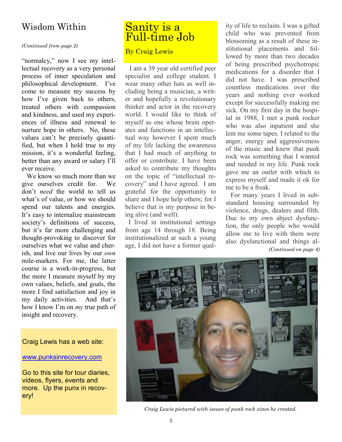*(Continued from page 2)*

"normalcy," now I see my intellectual recovery as a very personal process of inner speculation and philosophical development. I've come to measure my success by how I've given back to others, treated others with compassion and kindness, and used my experiences of illness and renewal to nurture hope in others. No, these values can't be precisely quantified, but when I hold true to my mission, it's a wonderful feeling, better than any award or salary I'll ever receive.

 We know so much more than we give ourselves credit for. We don't *need* the world to tell us what's of value, or how we should spend our talents and energies. It's easy to internalize mainstream society's definitions of success, but it's far more challenging and thought-provoking to discover for ourselves what we value and cherish, and live our lives by our *own* mile-markers. For me, the latter course is a work-in-progress, but the more I measure myself by my own values, beliefs, and goals, the more I find satisfaction and joy in my daily activities. And that's how I know I'm on *my* true path of insight and recovery.

#### Craig Lewis has a web site:

[www.punksinrecovery.com](http://www.punksinrecovery.com/)

Go to this site for tour diaries, videos, flyers, events and more. Up the punx in recovery!

## Wisdom Within Sanity is a Full-time Job

#### By Craig Lewis

 I am a 39 year old certified peer specialist and college student. I wear many other hats as well including being a musician, a writer and hopefully a revolutionary thinker and actor in the recovery world. I would like to think of myself as one whose brain operates and functions in an intellectual way however I spent much of my life lacking the awareness that I had much of anything to offer or contribute. I have been asked to contribute my thoughts on the topic of "intellectual recovery" and I have agreed. I am grateful for the opportunity to share and I hope help others; for I believe that is my purpose in being alive (and well).

 I lived in institutional settings from age 14 through 18. Being institutionalized at such a young age, I did not have a former quality of life to reclaim. I was a gifted child who was prevented from blossoming as a result of these institutional placements and followed by more than two decades of being prescribed psychotropic medications for a disorder that I did not have. I was prescribed countless medications over the years and nothing ever worked except for successfully making me sick. On my first day in the hospital in 1988, I met a punk rocker who was also inpatient and she lent me some tapes. I related to the anger, energy and aggressiveness of the music and knew that punk rock was something that I wanted and needed in my life. Punk rock gave me an outlet with which to express myself and made it ok for me to be a freak.

 For many years I lived in substandard housing surrounded by violence, drugs, dealers and filth. Due to my own abject dysfunction, the only people who would allow me to live with them were also dysfunctional and things al- *(Continued on page 4)*



 *Craig Lewis pictured with issues of punk rock zines he created.*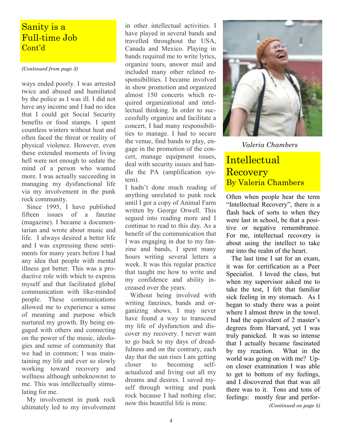#### Sanity is a Full-time Job Cont'd

#### *(Continued from page 3)*

ways ended poorly. I was arrested twice and abused and humiliated by the police as I was ill. I did not have any income and I had no idea that I could get Social Security benefits or food stamps. I spent countless winters without heat and often faced the threat or reality of physical violence. However, even these extended moments of living hell were not enough to sedate the mind of a person who wanted more. I was actually succeeding in managing my dysfunctional life via my involvement in the punk rock community.

 Since 1995, I have published fifteen issues of a fanzine (magazine). I became a documentarian and wrote about music and life. I always desired a better life and I was expressing these sentiments for many years before I had any idea that people with mental illness got better. This was a productive role with which to express myself and that facilitated global communication with like-minded people. These communications allowed me to experience a sense of meaning and purpose which nurtured my growth. By being engaged with others and connecting on the power of the music, ideologies and sense of community that we had in common; I was maintaining my life and ever so slowly working toward recovery and wellness although unbeknownst to me. This was intellectually stimulating for me.

 My involvement in punk rock ultimately led to my involvement

in other intellectual activities. I have played in several bands and travelled throughout the USA, Canada and Mexico. Playing in bands required me to write lyrics, organize tours, answer mail and included many other related responsibilities. I became involved in show promotion and organized almost 150 concerts which required organizational and intellectual thinking. In order to successfully organize and facilitate a concert, I had many responsibilities to manage. I had to secure the venue, find bands to play, engage in the promotion of the concert, manage equipment issues, deal with security issues and handle the PA (amplification system).

I hadn't done much reading of anything unrelated to punk rock until I got a copy of Animal Farm written by George Orwell. This segued into reading more and I continue to read to this day. As a benefit of the communication that I was engaging in due to my fanzine and bands, I spent many hours writing several letters a week. It was this regular practice that taught me how to write and my confidence and ability increased over the years.

 Without being involved with writing fanzines, bands and organizing shows, I may never have found a way to transcend my life of dysfunction and discover my recovery. I never want to go back to my days of dreadfulness and on the contrary, each day that the sun rises I am getting closer to becoming selfactualized and living out all my dreams and desires. I saved myself through writing and punk rock because I had nothing else; now this beautiful life is mine.



*Valeria Chambers*

#### **Intellectual** Recovery By Valeria Chambers

Often when people hear the term "Intellectual Recovery", there is a flash back of sorts to when they were last in school, be that a positive or negative remembrance. For me, intellectual recovery is about using the intellect to take me into the realm of the heart.

 The last time I sat for an exam, it was for certification as a Peer Specialist. I loved the class, but when my supervisor asked me to take the test, I felt that familiar sick feeling in my stomach. As I began to study there was a point where I almost threw in the towel. I had the equivalent of 2 master's degrees from Harvard, yet I was truly panicked. It was so intense that I actually became fascinated by my reaction. What in the world was going on with me? Upon closer examination I was able to get to bottom of my feelings, and I discovered that that was all there was to it. Tons and tons of feelings: mostly fear and perfor- *(Continued on page 5)*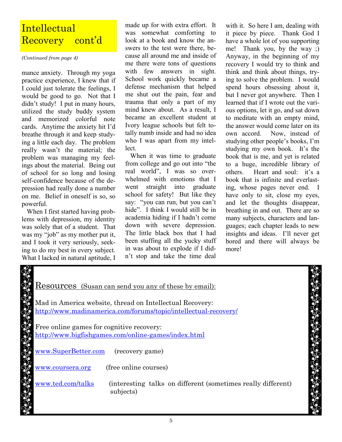### **Intellectual** Recovery cont'd

*(Continued from page 4)*

mance anxiety. Through my yoga practice experience, I knew that if I could just tolerate the feelings, I would be good to go. Not that I didn't study! I put in many hours, utilized the study buddy system and memorized colorful note cards. Anytime the anxiety hit I'd breathe through it and keep studying a little each day. The problem really wasn't the material; the problem was managing my feelings about the material. Being out of school for so long and losing self-confidence because of the depression had really done a number on me. Belief in oneself is so, so powerful.

 When I first started having problems with depression, my identity was solely that of a student. That was my "job" as my mother put it, and I took it very seriously, seeking to do my best in every subject. What I lacked in natural aptitude, I

made up for with extra effort. It was somewhat comforting to look at a book and know the answers to the test were there, because all around me and inside of me there were tons of questions with few answers in sight. School work quickly became a defense mechanism that helped me shut out the pain, fear and trauma that only a part of my mind knew about. As a result, I became an excellent student at Ivory league schools but felt totally numb inside and had no idea who I was apart from my intellect.

 When it was time to graduate from college and go out into "the real world", I was so overwhelmed with emotions that I went straight into graduate school for safety! But like they say: "you can run, but you can't hide". I think I would still be in academia hiding if I hadn't come down with severe depression. The little black box that I had been stuffing all the yucky stuff in was about to explode if I didn't stop and take the time deal

with it. So here I am, dealing with it piece by piece. Thank God I have a whole lot of you supporting me! Thank you, by the way ;) Anyway, in the beginning of my recovery I would try to think and think and think about things, trying to solve the problem. I would spend hours obsessing about it, but I never got anywhere. Then I learned that if I wrote out the various options, let it go, and sat down to meditate with an empty mind, the answer would come later on its own accord. Now, instead of studying other people's books, I'm studying my own book. It's the book that is me, and yet is related to a huge, incredible library of others. Heart and soul: it's a book that is infinite and everlasting, whose pages never end. I have only to sit, close my eyes, and let the thoughts disappear, breathing in and out. There are so many subjects, characters and languages; each chapter leads to new insights and ideas. I'll never get bored and there will always be more!

| <u>Resources (Susan can send you any of these by email):</u>                      |  |
|-----------------------------------------------------------------------------------|--|
|                                                                                   |  |
| Mad in America website, thread on Intellectual Recovery:                          |  |
|                                                                                   |  |
| http://www.madinamerica.com/forums/topic/intellectual-recovery/                   |  |
|                                                                                   |  |
|                                                                                   |  |
| Free online games for cognitive recovery:                                         |  |
| http://www.bigfishgames.com/online-games/index.html                               |  |
|                                                                                   |  |
|                                                                                   |  |
| www.SuperBetter.com (recovery game)                                               |  |
|                                                                                   |  |
|                                                                                   |  |
| (free online courses)<br>www.coursera.org                                         |  |
|                                                                                   |  |
|                                                                                   |  |
| www.ted.com/talks<br>(interesting talks on different (sometimes really different) |  |
| subjects)                                                                         |  |
|                                                                                   |  |
|                                                                                   |  |
|                                                                                   |  |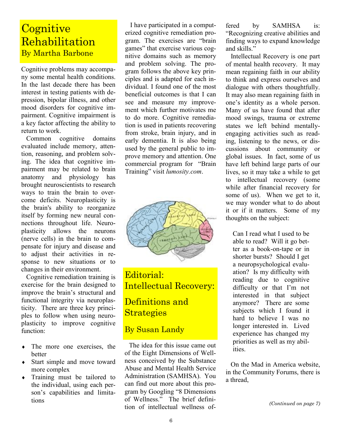### **Cognitive Rehabilitation** By Martha Barbone

Cognitive problems may accompany some mental health conditions. In the last decade there has been interest in testing patients with depression, bipolar illness, and other mood disorders for cognitive impairment. Cognitive impairment is a key factor affecting the ability to return to work.

 Common cognitive domains evaluated include memory, attention, reasoning, and problem solving. The idea that cognitive impairment may be related to brain anatomy and physiology has brought neuroscientists to research ways to train the brain to overcome deficits. Neuroplasticity is the brain's ability to reorganize itself by forming new neural connections throughout life. Neuroplasticity allows the neurons (nerve cells) in the brain to compensate for injury and disease and to adjust their activities in response to new situations or to changes in their environment.

 Cognitive remediation training is exercise for the brain designed to improve the brain's structural and functional integrity via neuroplasticity. There are three key principles to follow when using neuroplasticity to improve cognitive function:

- The more one exercises, the better
- Start simple and move toward more complex
- Training must be tailored to the individual, using each person's capabilities and limitations

 I have participated in a computerized cognitive remediation program. The exercises are "brain games" that exercise various cognitive domains such as memory and problem solving. The program follows the above key principles and is adapted for each individual. I found one of the most beneficial outcomes is that I can see and measure my improvement which further motivates me to do more. Cognitive remediation is used in patients recovering from stroke, brain injury, and in early dementia. It is also being used by the general public to improve memory and attention. One commercial program for "Brain Training" visit *lumosity.com*.



Editorial: Intellectual Recovery:

#### Definitions and **Strategies**

#### By Susan Landy

 The idea for this issue came out of the Eight Dimensions of Wellness conceived by the Substance Abuse and Mental Health Service Administration (SAMHSA). You can find out more about this program by Googling "8 Dimensions of Wellness." The brief definition of intellectual wellness offered by SAMHSA is: "Recognizing creative abilities and finding ways to expand knowledge and skills."

 Intellectual Recovery is one part of mental health recovery. It may mean regaining faith in our ability to think and express ourselves and dialogue with others thoughtfully. It may also mean regaining faith in one's identity as a whole person. Many of us have found that after mood swings, trauma or extreme states we left behind mentallyengaging activities such as reading, listening to the news, or discussions about community or global issues. In fact, some of us have left behind large parts of our lives, so it may take a while to get to intellectual recovery (some while after financial recovery for some of us). When we get to it, we may wonder what to do about it or if it matters. Some of my thoughts on the subject:

Can I read what I used to be able to read? Will it go better as a book-on-tape or in shorter bursts? Should I get a neuropsychological evaluation? Is my difficulty with reading due to cognitive difficulty or that I'm not interested in that subject anymore? There are some subjects which I found it hard to believe I was no longer interested in. Lived experience has changed my priorities as well as my abilities.

 On the Mad in America website, in the Community Forums, there is a thread,

*(Continued on page 7)*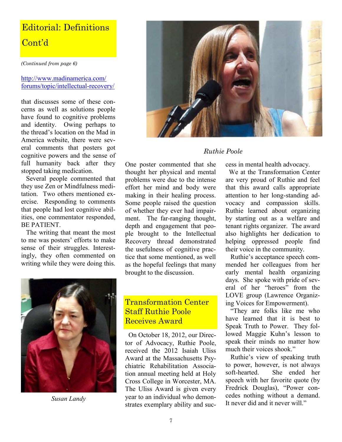## Editorial: Definitions Cont'd

*(Continued from page 6)*

#### [http://www.madinamerica.com/](http://www.madinamerica.com/forums/topic/intellectual-recovery/) [forums/topic/intellectual](http://www.madinamerica.com/forums/topic/intellectual-recovery/)-recovery/

that discusses some of these concerns as well as solutions people have found to cognitive problems and identity. Owing perhaps to the thread's location on the Mad in America website, there were several comments that posters got cognitive powers and the sense of full humanity back after they stopped taking medication.

 Several people commented that they use Zen or Mindfulness meditation. Two others mentioned exercise. Responding to comments that people had lost cognitive abilities, one commentator responded, BE PATIENT.

 The writing that meant the most to me was posters' efforts to make sense of their struggles. Interestingly, they often commented on writing while they were doing this.



#### *Ruthie Poole*

One poster commented that she thought her physical and mental problems were due to the intense effort her mind and body were making in their healing process. Some people raised the question of whether they ever had impairment. The far-ranging thought, depth and engagement that people brought to the Intellectual Recovery thread demonstrated the usefulness of cognitive practice that some mentioned, as well as the hopeful feelings that many brought to the discussion. cess in mental health advocacy.



*Susan Landy*

#### Transformation Center Staff Ruthie Poole Receives Award

 On October 18, 2012, our Director of Advocacy, Ruthie Poole, received the 2012 Isaiah Uliss Award at the Massachusetts Psychiatric Rehabilitation Association annual meeting held at Holy Cross College in Worcester, MA. The Uliss Award is given every year to an individual who demonstrates exemplary ability and suc-

 We at the Transformation Center are very proud of Ruthie and feel that this award calls appropriate attention to her long-standing advocacy and compassion skills. Ruthie learned about organizing by starting out as a welfare and tenant rights organizer. The award also highlights her dedication to helping oppressed people find their voice in the community.

 Ruthie's acceptance speech commended her colleagues from her early mental health organizing days. She spoke with pride of several of her "heroes" from the LOVE group (Lawrence Organizing Voices for Empowerment).

 "They are folks like me who have learned that it is best to Speak Truth to Power. They followed Maggie Kuhn's lesson to speak their minds no matter how much their voices shook."

 Ruthie's view of speaking truth to power, however, is not always soft-hearted. She ended her speech with her favorite quote (by Fredrick Douglas), "Power concedes nothing without a demand. It never did and it never will."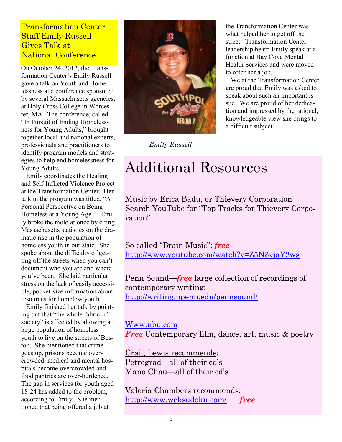#### Transformation Center Staff Emily Russell Gives Talk at National Conference

On October 24, 2012, the Transformation Center's Emily Russell gave a talk on Youth and Homelessness at a conference sponsored by several Massachusetts agencies, at Holy Cross College in Worcester, MA. The conference, called "In Pursuit of Ending Homelessness for Young Adults," brought together local and national experts, professionals and practitioners to identify program models and strategies to help end homelessness for Young Adults.

 Emily coordinates the Healing and Self-Inflicted Violence Project at the Transformation Center. Her talk in the program was titled, "A Personal Perspective on Being Homeless at a Young Age." Emily broke the mold at once by citing Massachusetts statistics on the dramatic rise in the population of homeless youth in our state. She spoke about the difficulty of getting off the streets when you can't document who you are and where you've been. She laid particular stress on the lack of easily accessible, pocket-size information about resources for homeless youth.

 Emily finished her talk by pointing out that "the whole fabric of society" is affected by allowing a large population of homeless youth to live on the streets of Boston. She mentioned that crime goes up, prisons become overcrowded, medical and mental hospitals become overcrowded and food pantries are over-burdened. The gap in services for youth aged 18-24 has added to the problem, according to Emily. She mentioned that being offered a job at



*Emily Russell*

the Transformation Center was what helped her to get off the street. Transformation Center leadership heard Emily speak at a function at Bay Cove Mental Health Services and were moved to offer her a job.

 We at the Transformation Center are proud that Emily was asked to speak about such an important issue. We are proud of her dedication and impressed by the rational, knowledgeable view she brings to a difficult subject.

## Additional Resources

Music by Erica Badu, or Thievery Corporation Search YouTube for "Top Tracks for Thievery Corporation"

So called "Brain Music": *free* <http://www.youtube.com/watch?v=Z5N3vjaY2ws>

Penn Sound—*free* large collection of recordings of contemporary writing: <http://writing.upenn.edu/pennsound/>

#### [Www.ubu.com](http://www.ubu.com/)

*Free* Contemporary film, dance, art, music & poetry

Craig Lewis recommends: Petrograd—all of their cd's Mano Chau—all of their cd's

Valeria Chambers recommends: <http://www.websudoku.com/>*free*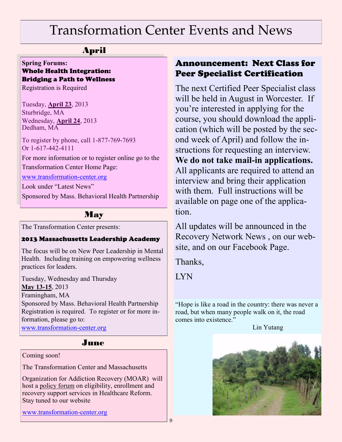## Transformation Center Events and News

#### April

#### **Spring Forums:**  Whole Health Integration: Bridging a Path to Wellness

Registration is Required

Tuesday, **April 23**, 2013 Sturbridge, MA Wednesday, **April 24**, 2013 Dedham, MA

To register by phone, call 1-877-769-7693 Or 1-617-442-4111

For more information or to register online go to the Transformation Center Home Page:

[www.transformation](http://transformation-center.org/wp-content/uploads/2013/03/MBHP-Recovery-Forums-2013.pdf)-center.org

Look under "Latest News"

Sponsored by Mass. Behavioral Health Partnership

#### May

The Transformation Center presents:

#### 2013 Massachusetts Leadership Academy

The focus will be on New Peer Leadership in Mental Health. Including training on empowering wellness practices for leaders.

Tuesday, Wednesday and Thursday **May 13-15**, 2013 Framingham, MA Sponsored by Mass. Behavioral Health Partnership Registration is required. To register or for more information, please go to: [www.transformation](http://transformation-center.org/wp-content/uploads/2013/03/MLA-Flyer-2013-final.pdf)-center.org

#### June

#### Coming soon!

The Transformation Center and Massachusetts

Organization for Addiction Recovery (MOAR) will host a policy forum on eligibility, enrollment and recovery support services in Healthcare Reform. Stay tuned to our website

[www.transformation](http://www.transformation-center.org)-center.org

#### Announcement: Next Class for Peer Specialist Certification

The next Certified Peer Specialist class will be held in August in Worcester. If you're interested in applying for the course, you should download the application (which will be posted by the second week of April) and follow the instructions for requesting an interview. **We do not take mail-in applications.** All applicants are required to attend an interview and bring their application with them. Full instructions will be available on page one of the application.

All updates will be announced in the Recovery Network News , on our website, and on our Facebook Page.

Thanks,

**LYN** 

"Hope is like a road in the country: there was never a road, but when many people walk on it, the road comes into existence."

Lin Yutang